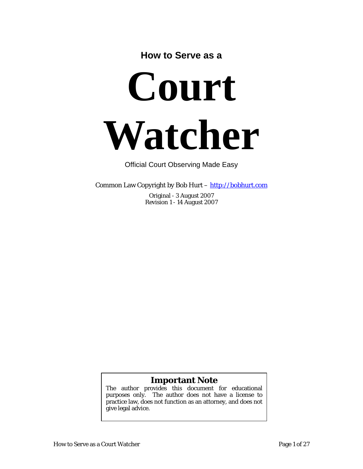**How to Serve as a** 

# <span id="page-0-0"></span>**Court Watcher**

Official Court Observing Made Easy

Common Law Copyright by Bob Hurt – [http://bobhurt.com](http://bobhurt.com/) Original - 3 August 2007 Revision 1 - 14 August 2007

## **Important Note**

The author provides this document for educational purposes only. The author does not have a license to practice law, does not function as an attorney, and does not give legal advice.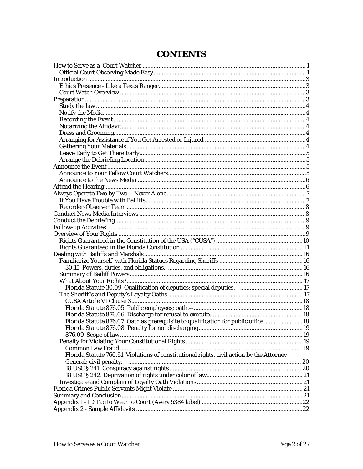| Florida Statute 876.07 Oath as prerequisite to qualification for public office  18       |  |
|------------------------------------------------------------------------------------------|--|
|                                                                                          |  |
|                                                                                          |  |
|                                                                                          |  |
|                                                                                          |  |
| Florida Statute 760.51 Violations of constitutional rights, civil action by the Attorney |  |
|                                                                                          |  |
|                                                                                          |  |
|                                                                                          |  |
|                                                                                          |  |
|                                                                                          |  |
|                                                                                          |  |
|                                                                                          |  |
|                                                                                          |  |

## **CONTENTS**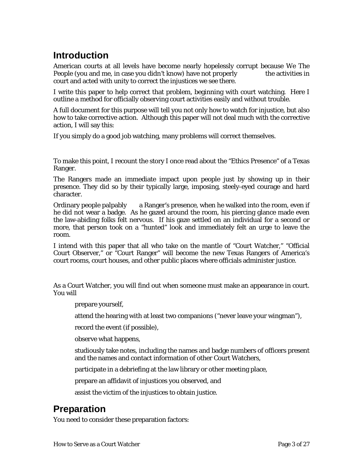# <span id="page-2-0"></span>**Introduction**

American courts at all levels have become nearly hopelessly corrupt because We The People (you and me, in case you didn't know) have not properly watched the activities in court and acted with unity to correct the injustices we see there.

I write this paper to help correct that problem, beginning with court watching. Here I outline a method for officially observing court activities easily and without trouble.

A full document for this purpose will tell you not only how to watch for injustice, but also how to take corrective action. Although this paper will not deal much with the corrective action, I will say this:

If you simply do a good job watching, many problems will correct themselves.

#### Ethics Presence - Like a Texas Ranger

To make this point, I recount the story I once read about the "Ethics Presence" of a Texas Ranger.

The Rangers made an immediate impact upon people just by showing up in their presence. They did so by their typically large, imposing, steely-eyed courage and hard character.

Ordinary people palpably felt a Ranger's presence, when he walked into the room, even if he did not wear a badge. As he gazed around the room, his piercing glance made even the law-abiding folks felt nervous. If his gaze settled on an individual for a second or more, that person took on a "hunted" look and immediately felt an urge to leave the room.

I intend with this paper that all who take on the mantle of "Court Watcher," "Official Court Observer," or "Court Ranger" will become the new Texas Rangers of America's court rooms, court houses, and other public places where officials administer justice.

#### Court Watch Overview

As a Court Watcher, you will find out when someone must make an appearance in court. You will

- x prepare yourself,
- x attend the hearing with at least two companions ("never leave your wingman"),
- x record the event (if possible),
- x observe what happens,
- x studiously take notes, including the names and badge numbers of officers present and the names and contact information of other Court Watchers,
- x participate in a debriefing at the law library or other meeting place,
- x prepare an affidavit of injustices you observed, and
- x assist the victim of the injustices to obtain justice.

## **Preparation**

You need to consider these preparation factors: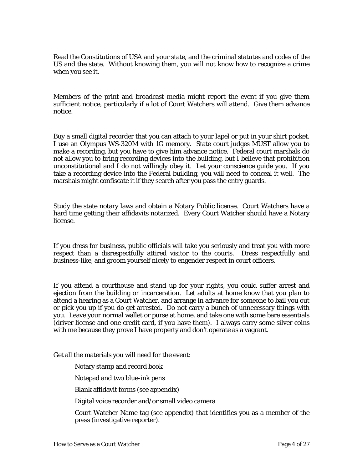#### <span id="page-3-0"></span>Study the law

Read the Constitutions of USA and your state, and the criminal statutes and codes of the US and the state. Without knowing them, you will not know how to recognize a crime when you see it.

#### Notify the Media

Members of the print and broadcast media might report the event if you give them sufficient notice, particularly if a lot of Court Watchers will attend. Give them advance notice.

#### Recording the Event

Buy a small digital recorder that you can attach to your lapel or put in your shirt pocket. I use an Olympus WS-320M with 1G memory. State court judges MUST allow you to make a recording, but you have to give him advance notice. Federal court marshals do not allow you to bring recording devices into the building, but I believe that prohibition unconstitutional and I do not willingly obey it. Let your conscience guide you. If you take a recording device into the Federal building, you will need to conceal it well. The marshals might confiscate it if they search after you pass the entry guards.

#### Notarizing the Affidavit

Study the state notary laws and obtain a Notary Public license. Court Watchers have a hard time getting their affidavits notarized. Every Court Watcher should have a Notary license.

#### Dress and Grooming

If you dress for business, public officials will take you seriously and treat you with more respect than a disrespectfully attired visitor to the courts. Dress respectfully and business-like, and groom yourself nicely to engender respect in court officers.

#### Arranging for Assistance if You Get Arrested or Injured

If you attend a courthouse and stand up for your rights, you could suffer arrest and ejection from the building or incarceration. Let adults at home know that you plan to attend a hearing as a Court Watcher, and arrange in advance for someone to bail you out or pick you up if you do get arrested. Do not carry a bunch of unnecessary things with you. Leave your normal wallet or purse at home, and take one with some bare essentials (driver license and one credit card, if you have them). I always carry some silver coins with me because they prove I have property and don't operate as a vagrant.

#### Gathering Your Materials

Get all the materials you will need for the event:

- x Notary stamp and record book
- x Notepad and two blue-ink pens
- x Blank affidavit forms (see appendix)
- x Digital voice recorder and/or small video camera
- x Court Watcher Name tag (see appendix) that identifies you as a member of the press (investigative reporter).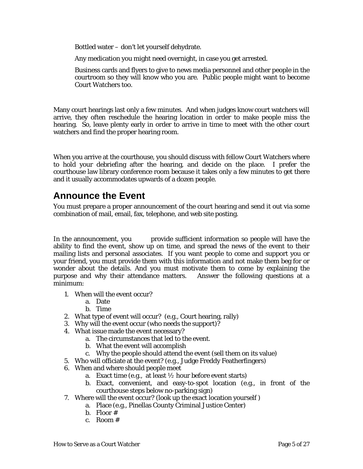- x Bottled water don't let yourself dehydrate.
- x Any medication you might need overnight, in case you get arrested.
- x Business cards and flyers to give to news media personnel and other people in the courtroom so they will know who you are. Public people might want to become Court Watchers too.

## Leave Early to Get There Early

Many court hearings last only a few minutes. And when judges know court watchers will arrive, they often reschedule the hearing location in order to make people miss the hearing. So, leave plenty early in order to arrive in time to meet with the other court watchers and find the proper hearing room.

## Arrange the Debriefing Location

When you arrive at the courthouse, you should discuss with fellow Court Watchers where to hold your debriefing after the hearing, and decide on the place. I prefer the courthouse law library conference room because it takes only a few minutes to get there and it usually accommodates upwards of a dozen people.

## **Announce the Event**

You must prepare a proper announcement of the court hearing and send it out via some combination of mail, email, fax, telephone, and web site posting.

## Announce to Your Fellow Court Watchers

In the announcement, you must provide sufficient information so people will have the ability to find the event, show up on time, and spread the news of the event to their mailing lists and personal associates. If you want people to come and support you or your friend, you must provide them with this information and not make them beg for or wonder about the details. And you must motivate them to come by explaining the purpose and why their attendance matters. Answer the following questions at a minimum:

- 1. When will the event occur?
	- a. Date
	- b. Time
- 2. What type of event will occur? (e.g., Court hearing, rally)
- 3. Why will the event occur (who needs the support)?
- 4. What issue made the event necessary?
	- a. The circumstances that led to the event.
	- b. What the event will accomplish
	- c. Why the people should attend the event (sell them on its value)
- 5. Who will officiate at the event? (e.g., Judge Freddy Featherfingers)
- 6. When and where should people meet
	- a. Exact time (e.g., at least  $\frac{1}{2}$  hour before event starts)
	- b. Exact, convenient, and easy-to-spot location (e.g., in front of the courthouse steps below no-parking sign)
- 7. Where will the event occur? (look up the exact location yourself )
	- a. Place (e.g., Pinellas County Criminal Justice Center)
		- b. Floor #
		- c. Room #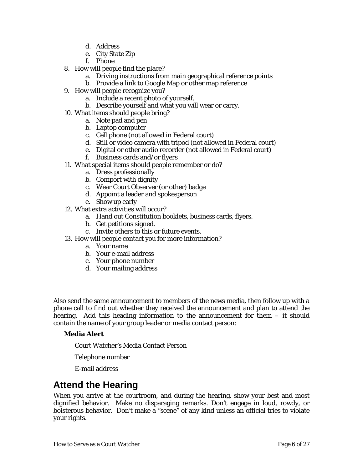- d. Address
- e. City State Zip
- f. Phone
- 8. How will people find the place?
	- a. Driving instructions from main geographical reference points
	- b. Provide a link to Google Map or other map reference
- 9. How will people recognize you?
	- a. Include a recent photo of yourself.
	- b. Describe yourself and what you will wear or carry.
- 10. What items should people bring?
	- a. Note pad and pen
	- b. Laptop computer
	- c. Cell phone (not allowed in Federal court)
	- d. Still or video camera with tripod (not allowed in Federal court)
	- e. Digital or other audio recorder (not allowed in Federal court)
	- f. Business cards and/or flyers
- 11. What special items should people remember or do?
	- a. Dress professionally
	- b. Comport with dignity
	- c. Wear Court Observer (or other) badge
	- d. Appoint a leader and spokesperson
	- e. Show up early
- 12. What extra activities will occur?
	- a. Hand out Constitution booklets, business cards, flyers.
	- b. Get petitions signed.
	- c. Invite others to this or future events.
- 13. How will people contact you for more information?
	- a. Your name
	- b. Your e-mail address
	- c. Your phone number
	- d. Your mailing address

#### Announce to the News Media

Also send the same announcement to members of the news media, then follow up with a phone call to find out whether they received the announcement and plan to attend the hearing. Add this heading information to the announcement for them – it should contain the name of your group leader or media contact person:

#### **Media Alert**

- x Court Watcher's Media Contact Person
- x Telephone number
- x E-mail address

## **Attend the Hearing**

When you arrive at the courtroom, and during the hearing, show your best and most dignified behavior. Make no disparaging remarks. Don't engage in loud, rowdy, or boisterous behavior. Don't make a "scene" of any kind unless an official tries to violate your rights.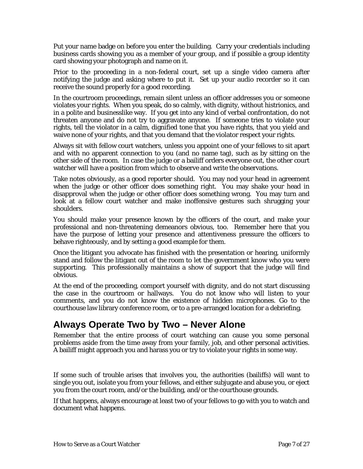Put your name badge on before you enter the building. Carry your credentials including business cards showing you as a member of your group, and if possible a group identity card showing your photograph and name on it.

Prior to the proceeding in a non-federal court, set up a single video camera after notifying the judge and asking where to put it. Set up your audio recorder so it can receive the sound properly for a good recording.

In the courtroom proceedings, remain silent unless an officer addresses you or someone violates your rights. When you speak, do so calmly, with dignity, without histrionics, and in a polite and businesslike way. If you get into any kind of verbal confrontation, do not threaten anyone and do not try to aggravate anyone. If someone tries to violate your rights, tell the violator in a calm, dignified tone that you have rights, that you yield and waive none of your rights, and that you demand that the violator respect your rights.

Always sit with fellow court watchers, unless you appoint one of your fellows to sit apart and with no apparent connection to you (and no name tag), such as by sitting on the other side of the room. In case the judge or a bailiff orders everyone out, the other court watcher will have a position from which to observe and write the observations.

Take notes obviously, as a good reporter should. You may nod your head in agreement when the judge or other officer does something right. You may shake your head in disapproval when the judge or other officer does something wrong. You may turn and look at a fellow court watcher and make inoffensive gestures such shrugging your shoulders.

You should make your presence known by the officers of the court, and make your professional and non-threatening demeanors obvious, too. Remember here that you have the purpose of letting your presence and attentiveness pressure the officers to behave righteously, and by setting a good example for them.

Once the litigant you advocate has finished with the presentation or hearing, uniformly stand and follow the litigant out of the room to let the government know who you were supporting. This professionally maintains a show of support that the judge will find obvious.

At the end of the proceeding, comport yourself with dignity, and do not start discussing the case in the courtroom or hallways. You do not know who will listen to your comments, and you do not know the existence of hidden microphones. Go to the courthouse law library conference room, or to a pre-arranged location for a debriefing.

# **Always Operate Two by Two – Never Alone**

Remember that the entire process of court watching can cause you some personal problems aside from the time away from your family, job, and other personal activities. A bailiff might approach you and harass you or try to violate your rights in some way.

## If You Have Trouble with Bailiffs

If some such of trouble arises that involves you, the authorities (bailiffs) will want to single you out, isolate you from your fellows, and either subjugate and abuse you, or eject you from the court room, and/or the building, and/or the courthouse grounds.

If that happens, always encourage at least two of your fellows to go with you to watch and document what happens.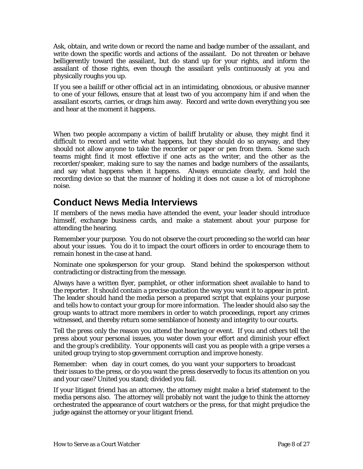Ask, obtain, and write down or record the name and badge number of the assailant, and write down the specific words and actions of the assailant. Do not threaten or behave belligerently toward the assailant, but do stand up for your rights, and inform the assailant of those rights, even though the assailant yells continuously at you and physically roughs you up.

If you see a bailiff or other official act in an intimidating, obnoxious, or abusive manner to one of your fellows, ensure that at least two of you accompany him if and when the assailant escorts, carries, or drags him away. Record and write down everything you see and hear at the moment it happens.

## Recorder-Observer Team

When two people accompany a victim of bailiff brutality or abuse, they might find it difficult to record and write what happens, but they should do so anyway, and they should not allow anyone to take the recorder or paper or pen from them. Some such teams might find it most effective if one acts as the writer, and the other as the recorder/speaker, making sure to say the names and badge numbers of the assailants, and say what happens when it happens. Always enunciate clearly, and hold the recording device so that the manner of holding it does not cause a lot of microphone noise.

# **Conduct News Media Interviews**

If members of the news media have attended the event, your leader should introduce himself, exchange business cards, and make a statement about your purpose for attending the hearing.

Remember your purpose. You do not observe the court proceeding so the world can hear about your issues. You do it to impact the court officers in order to encourage them to remain honest in the case at hand.

Nominate one spokesperson for your group. Stand behind the spokesperson without contradicting or distracting from the message.

Always have a written flyer, pamphlet, or other information sheet available to hand to the reporter. It should contain a precise quotation the way you want it to appear in print. The leader should hand the media person a prepared script that explains your purpose and tells how to contact your group for more information. The leader should also say the group wants to attract more members in order to watch proceedings, report any crimes witnessed, and thereby return some semblance of honesty and integrity to our courts.

Tell the press only the reason you attend the hearing or event. If you and others tell the press about your personal issues, you water down your effort and diminish your effect and the group's credibility. Your opponents will cast you as people with a gripe verses a united group trying to stop government corruption and improve honesty.

Remember: when your day in court comes, do you want your supporters to broadcast their issues to the press, or do you want the press deservedly to focus its attention on you and your case? United you stand; divided you fall.

If your litigant friend has an attorney, the attorney might make a brief statement to the media persons also. The attorney will probably not want the judge to think the attorney orchestrated the appearance of court watchers or the press, for that might prejudice the judge against the attorney or your litigant friend.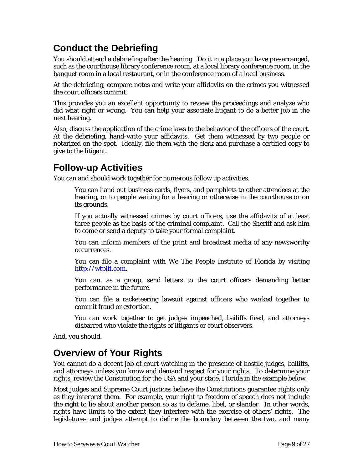# **Conduct the Debriefing**

You should attend a debriefing after the hearing. Do it in a place you have pre-arranged, such as the courthouse library conference room, at a local library conference room, in the banquet room in a local restaurant, or in the conference room of a local business.

At the debriefing, compare notes and write your affidavits on the crimes you witnessed the court officers commit.

This provides you an excellent opportunity to review the proceedings and analyze who did what right or wrong. You can help your associate litigant to do a better job in the next hearing.

Also, discuss the application of the crime laws to the behavior of the officers of the court. At the debriefing, hand-write your affidavits. Get them witnessed by two people or notarized on the spot. Ideally, file them with the clerk and purchase a certified copy to give to the litigant.

# **Follow-up Activities**

You can and should work together for numerous follow up activities.

- x You can hand out business cards, flyers, and pamphlets to other attendees at the hearing, or to people waiting for a hearing or otherwise in the courthouse or on its grounds.
- x If you actually witnessed crimes by court officers, use the affidavits of at least three people as the basis of the criminal complaint. Call the Sheriff and ask him to come or send a deputy to take your formal complaint.
- x You can inform members of the print and broadcast media of any newsworthy occurrences.
- x You can file a complaint with We The People Institute of Florida by visiting http://wtpifl.com.
- x You can, as a group, send letters to the court officers demanding better performance in the future.
- x You can file a racketeering lawsuit against officers who worked together to commit fraud or extortion.
- x You can work together to get judges impeached, bailiffs fired, and attorneys disbarred who violate the rights of litigants or court observers.

And, you should.

## **Overview of Your Rights**

You cannot do a decent job of court watching in the presence of hostile judges, bailiffs, and attorneys unless you know and demand respect for your rights. To determine your rights, review the Constitution for the USA and your state, Florida in the example below.

Most judges and Supreme Court justices believe the Constitutions guarantee rights only as they interpret them. For example, your right to freedom of speech does not include the right to lie about another person so as to defame, libel, or slander. In other words, rights have limits to the extent they interfere with the exercise of others' rights. The legislatures and judges attempt to define the boundary between the two, and many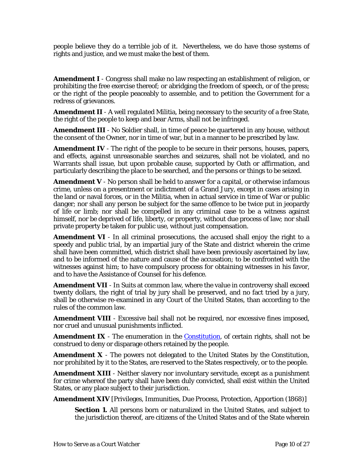people believe they do a terrible job of it. Nevertheless, we do have those systems of rights and justice, and we must make the best of them.

Rights Guaranteed in the Constitution of the USA ("CUSA")

**Amendment I** - Congress shall make no law respecting an establishment of religion, or prohibiting the free exercise thereof; or abridging the freedom of speech, or of the press; or the right of the people peaceably to assemble, and to petition the Government for a redress of grievances.

**Amendment II** - A well regulated Militia, being necessary to the security of a free State, the right of the people to keep and bear Arms, shall not be infringed.

**Amendment III** - No Soldier shall, in time of peace be quartered in any house, without the consent of the Owner, nor in time of war, but in a manner to be prescribed by law.

**Amendment IV** - The right of the people to be secure in their persons, houses, papers, and effects, against unreasonable searches and seizures, shall not be violated, and no Warrants shall issue, but upon probable cause, supported by Oath or affirmation, and particularly describing the place to be searched, and the persons or things to be seized.

**Amendment V** - No person shall be held to answer for a capital, or otherwise infamous crime, unless on a presentment or indictment of a Grand Jury, except in cases arising in the land or naval forces, or in the Militia, when in actual service in time of War or public danger; nor shall any person be subject for the same offence to be twice put in jeopardy of life or limb; nor shall be compelled in any criminal case to be a witness against himself, nor be deprived of life, liberty, or property, without due process of law; nor shall private property be taken for public use, without just compensation.

**Amendment VI** - In all criminal prosecutions, the accused shall enjoy the right to a speedy and public trial, by an impartial jury of the State and district wherein the crime shall have been committed, which district shall have been previously ascertained by law, and to be informed of the nature and cause of the accusation; to be confronted with the witnesses against him; to have compulsory process for obtaining witnesses in his favor, and to have the Assistance of Counsel for his defence.

**Amendment VII** - In Suits at common law, where the value in controversy shall exceed twenty dollars, the right of trial by jury shall be preserved, and no fact tried by a jury, shall be otherwise re-examined in any Court of the United States, than according to the rules of the common law.

**Amendment VIII** - Excessive bail shall not be required, nor excessive fines imposed, nor cruel and unusual punishments inflicted.

**Amendment IX** - The enumeration in the Constitution, of certain rights, shall not be construed to deny or disparage others retained by the people.

**Amendment X** - The powers not delegated to the United States by the Constitution, nor prohibited by it to the States, are reserved to the States respectively, or to the people.

**Amendment XIII** - Neither slavery nor involuntary servitude, except as a punishment for crime whereof the party shall have been duly convicted, shall exist within the United States, or any place subject to their jurisdiction.

**Amendment XIV** [Privileges, Immunities, Due Process, Protection, Apportion (1868)]

**Section 1.** All persons born or naturalized in the United States, and subject to the jurisdiction thereof, are citizens of the United States and of the State wherein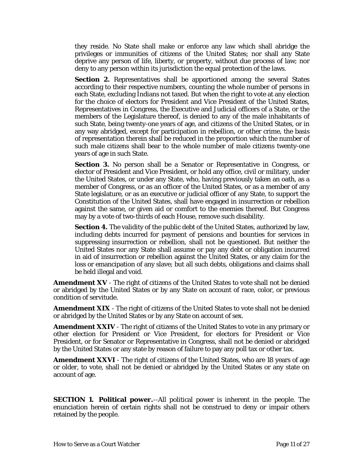they reside. No State shall make or enforce any law which shall abridge the privileges or immunities of citizens of the United States; nor shall any State deprive any person of life, liberty, or property, without due process of law; nor deny to any person within its jurisdiction the equal protection of the laws.

**Section 2.** Representatives shall be apportioned among the several States according to their respective numbers, counting the whole number of persons in each State, excluding Indians not taxed. But when the right to vote at any election for the choice of electors for President and Vice President of the United States, Representatives in Congress, the Executive and Judicial officers of a State, or the members of the Legislature thereof, is denied to any of the male inhabitants of such State, being twenty-one years of age, and citizens of the United States, or in any way abridged, except for participation in rebellion, or other crime, the basis of representation therein shall be reduced in the proportion which the number of such male citizens shall bear to the whole number of male citizens twenty-one years of age in such State.

**Section 3.** No person shall be a Senator or Representative in Congress, or elector of President and Vice President, or hold any office, civil or military, under the United States, or under any State, who, having previously taken an oath, as a member of Congress, or as an officer of the United States, or as a member of any State legislature, or as an executive or judicial officer of any State, to support the Constitution of the United States, shall have engaged in insurrection or rebellion against the same, or given aid or comfort to the enemies thereof. But Congress may by a vote of two-thirds of each House, remove such disability.

**Section 4.** The validity of the public debt of the United States, authorized by law, including debts incurred for payment of pensions and bounties for services in suppressing insurrection or rebellion, shall not be questioned. But neither the United States nor any State shall assume or pay any debt or obligation incurred in aid of insurrection or rebellion against the United States, or any claim for the loss or emancipation of any slave; but all such debts, obligations and claims shall be held illegal and void.

**Amendment XV** - The right of citizens of the United States to vote shall not be denied or abridged by the United States or by any State on account of race, color, or previous condition of servitude.

**Amendment XIX** - The right of citizens of the United States to vote shall not be denied or abridged by the United States or by any State on account of sex.

**Amendment XXIV** - The right of citizens of the United States to vote in any primary or other election for President or Vice President, for electors for President or Vice President, or for Senator or Representative in Congress, shall not be denied or abridged by the United States or any state by reason of failure to pay any poll tax or other tax.

**Amendment XXVI** - The right of citizens of the United States, who are 18 years of age or older, to vote, shall not be denied or abridged by the United States or any state on account of age.

Rights Guaranteed in th e Florida Constitution

**SECTION 1. Political power.**--All political power is inherent in the people. The enunciation herein of certain rights shall not be construed to deny or impair others retained by the people.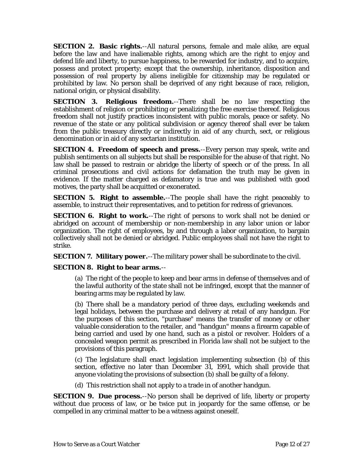**SECTION 2. Basic rights.**--All natural persons, female and male alike, are equal before the law and have inalienable rights, among which are the right to enjoy and defend life and liberty, to pursue happiness, to be rewarded for industry, and to acquire, possess and protect property; except that the ownership, inheritance, disposition and possession of real property by aliens ineligible for citizenship may be regulated or prohibited by law. No person shall be deprived of any right because of race, religion, national origin, or physical disability.

**SECTION 3. Religious freedom.**--There shall be no law respecting the establishment of religion or prohibiting or penalizing the free exercise thereof. Religious freedom shall not justify practices inconsistent with public morals, peace or safety. No revenue of the state or any political subdivision or agency thereof shall ever be taken from the public treasury directly or indirectly in aid of any church, sect, or religious denomination or in aid of any sectarian institution.

**SECTION 4. Freedom of speech and press.**--Every person may speak, write and publish sentiments on all subjects but shall be responsible for the abuse of that right. No law shall be passed to restrain or abridge the liberty of speech or of the press. In all criminal prosecutions and civil actions for defamation the truth may be given in evidence. If the matter charged as defamatory is true and was published with good motives, the party shall be acquitted or exonerated.

**SECTION 5. Right to assemble.**--The people shall have the right peaceably to assemble, to instruct their representatives, and to petition for redress of grievances.

**SECTION 6. Right to work.**--The right of persons to work shall not be denied or abridged on account of membership or non-membership in any labor union or labor organization. The right of employees, by and through a labor organization, to bargain collectively shall not be denied or abridged. Public employees shall not have the right to strike.

**SECTION 7. Military power.**--The military power shall be subordinate to the civil.

#### **SECTION 8. Right to bear arms.**--

(a) The right of the people to keep and bear arms in defense of themselves and of the lawful authority of the state shall not be infringed, except that the manner of bearing arms may be regulated by law.

(b) There shall be a mandatory period of three days, excluding weekends and legal holidays, between the purchase and delivery at retail of any handgun. For the purposes of this section, "purchase" means the transfer of money or other valuable consideration to the retailer, and "handgun" means a firearm capable of being carried and used by one hand, such as a pistol or revolver. Holders of a concealed weapon permit as prescribed in Florida law shall not be subject to the provisions of this paragraph.

(c) The legislature shall enact legislation implementing subsection (b) of this section, effective no later than December 31, 1991, which shall provide that anyone violating the provisions of subsection (b) shall be guilty of a felony.

(d) This restriction shall not apply to a trade in of another handgun.

**SECTION 9. Due process.**--No person shall be deprived of life, liberty or property without due process of law, or be twice put in jeopardy for the same offense, or be compelled in any criminal matter to be a witness against oneself.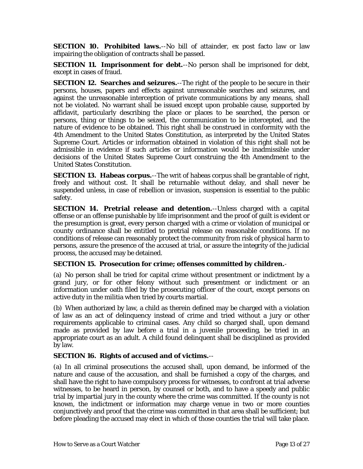**SECTION 10. Prohibited laws.**--No bill of attainder, ex post facto law or law impairing the obligation of contracts shall be passed.

**SECTION 11. Imprisonment for debt.**--No person shall be imprisoned for debt, except in cases of fraud.

**SECTION 12. Searches and seizures.**--The right of the people to be secure in their persons, houses, papers and effects against unreasonable searches and seizures, and against the unreasonable interception of private communications by any means, shall not be violated. No warrant shall be issued except upon probable cause, supported by affidavit, particularly describing the place or places to be searched, the person or persons, thing or things to be seized, the communication to be intercepted, and the nature of evidence to be obtained. This right shall be construed in conformity with the 4th Amendment to the United States Constitution, as interpreted by the United States Supreme Court. Articles or information obtained in violation of this right shall not be admissible in evidence if such articles or information would be inadmissible under decisions of the United States Supreme Court construing the 4th Amendment to the United States Constitution.

**SECTION 13. Habeas corpus.**--The writ of habeas corpus shall be grantable of right, freely and without cost. It shall be returnable without delay, and shall never be suspended unless, in case of rebellion or invasion, suspension is essential to the public safety.

**SECTION 14. Pretrial release and detention.**--Unless charged with a capital offense or an offense punishable by life imprisonment and the proof of guilt is evident or the presumption is great, every person charged with a crime or violation of municipal or county ordinance shall be entitled to pretrial release on reasonable conditions. If no conditions of release can reasonably protect the community from risk of physical harm to persons, assure the presence of the accused at trial, or assure the integrity of the judicial process, the accused may be detained.

#### **SECTION 15. Prosecution for crime; offenses committed by children.**-

(a) No person shall be tried for capital crime without presentment or indictment by a grand jury, or for other felony without such presentment or indictment or an information under oath filed by the prosecuting officer of the court, except persons on active duty in the militia when tried by courts martial.

(b) When authorized by law, a child as therein defined may be charged with a violation of law as an act of delinquency instead of crime and tried without a jury or other requirements applicable to criminal cases. Any child so charged shall, upon demand made as provided by law before a trial in a juvenile proceeding, be tried in an appropriate court as an adult. A child found delinquent shall be disciplined as provided by law.

#### **SECTION 16. Rights of accused and of victims.**--

(a) In all criminal prosecutions the accused shall, upon demand, be informed of the nature and cause of the accusation, and shall be furnished a copy of the charges, and shall have the right to have compulsory process for witnesses, to confront at trial adverse witnesses, to be heard in person, by counsel or both, and to have a speedy and public trial by impartial jury in the county where the crime was committed. If the county is not known, the indictment or information may charge venue in two or more counties conjunctively and proof that the crime was committed in that area shall be sufficient; but before pleading the accused may elect in which of those counties the trial will take place.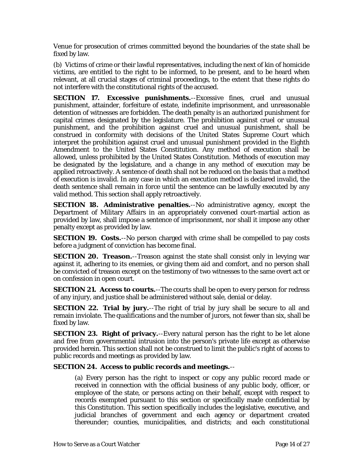Venue for prosecution of crimes committed beyond the boundaries of the state shall be fixed by law.

(b) Victims of crime or their lawful representatives, including the next of kin of homicide victims, are entitled to the right to be informed, to be present, and to be heard when relevant, at all crucial stages of criminal proceedings, to the extent that these rights do not interfere with the constitutional rights of the accused.

**SECTION 17. Excessive punishments.**--Excessive fines, cruel and unusual punishment, attainder, forfeiture of estate, indefinite imprisonment, and unreasonable detention of witnesses are forbidden. The death penalty is an authorized punishment for capital crimes designated by the legislature. The prohibition against cruel or unusual punishment, and the prohibition against cruel and unusual punishment, shall be construed in conformity with decisions of the United States Supreme Court which interpret the prohibition against cruel and unusual punishment provided in the Eighth Amendment to the United States Constitution. Any method of execution shall be allowed, unless prohibited by the United States Constitution. Methods of execution may be designated by the legislature, and a change in any method of execution may be applied retroactively. A sentence of death shall not be reduced on the basis that a method of execution is invalid. In any case in which an execution method is declared invalid, the death sentence shall remain in force until the sentence can be lawfully executed by any valid method. This section shall apply retroactively.

**SECTION 18. Administrative penalties.**--No administrative agency, except the Department of Military Affairs in an appropriately convened court-martial action as provided by law, shall impose a sentence of imprisonment, nor shall it impose any other penalty except as provided by law.

**SECTION 19. Costs.**--No person charged with crime shall be compelled to pay costs before a judgment of conviction has become final.

**SECTION 20. Treason.**--Treason against the state shall consist only in levying war against it, adhering to its enemies, or giving them aid and comfort, and no person shall be convicted of treason except on the testimony of two witnesses to the same overt act or on confession in open court.

**SECTION 21. Access to courts.**--The courts shall be open to every person for redress of any injury, and justice shall be administered without sale, denial or delay.

**SECTION 22. Trial by jury.**--The right of trial by jury shall be secure to all and remain inviolate. The qualifications and the number of jurors, not fewer than six, shall be fixed by law.

**SECTION 23. Right of privacy.**--Every natural person has the right to be let alone and free from governmental intrusion into the person's private life except as otherwise provided herein. This section shall not be construed to limit the public's right of access to public records and meetings as provided by law.

#### **SECTION 24. Access to public records and meetings.**--

(a) Every person has the right to inspect or copy any public record made or received in connection with the official business of any public body, officer, or employee of the state, or persons acting on their behalf, except with respect to records exempted pursuant to this section or specifically made confidential by this Constitution. This section specifically includes the legislative, executive, and judicial branches of government and each agency or department created thereunder; counties, municipalities, and districts; and each constitutional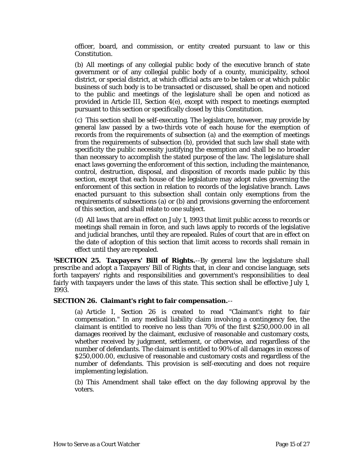officer, board, and commission, or entity created pursuant to law or this Constitution.

(b) All meetings of any collegial public body of the executive branch of state government or of any collegial public body of a county, municipality, school district, or special district, at which official acts are to be taken or at which public business of such body is to be transacted or discussed, shall be open and noticed to the public and meetings of the legislature shall be open and noticed as provided in Article III, Section 4(e), except with respect to meetings exempted pursuant to this section or specifically closed by this Constitution.

(c) This section shall be self-executing. The legislature, however, may provide by general law passed by a two-thirds vote of each house for the exemption of records from the requirements of subsection (a) and the exemption of meetings from the requirements of subsection (b), provided that such law shall state with specificity the public necessity justifying the exemption and shall be no broader than necessary to accomplish the stated purpose of the law. The legislature shall enact laws governing the enforcement of this section, including the maintenance, control, destruction, disposal, and disposition of records made public by this section, except that each house of the legislature may adopt rules governing the enforcement of this section in relation to records of the legislative branch. Laws enacted pursuant to this subsection shall contain only exemptions from the requirements of subsections (a) or (b) and provisions governing the enforcement of this section, and shall relate to one subject.

(d) All laws that are in effect on July 1, 1993 that limit public access to records or meetings shall remain in force, and such laws apply to records of the legislative and judicial branches, until they are repealed. Rules of court that are in effect on the date of adoption of this section that limit access to records shall remain in effect until they are repealed.

**1SECTION 25. Taxpayers' Bill of Rights.**--By general law the legislature shall prescribe and adopt a Taxpayers' Bill of Rights that, in clear and concise language, sets forth taxpayers' rights and responsibilities and government's responsibilities to deal fairly with taxpayers under the laws of this state. This section shall be effective July 1, 1993.

#### **SECTION 26. Claimant's right to fair compensation.**--

(a) Article I, Section 26 is created to read "Claimant's right to fair compensation." In any medical liability claim involving a contingency fee, the claimant is entitled to receive no less than 70% of the first \$250,000.00 in all damages received by the claimant, exclusive of reasonable and customary costs, whether received by judgment, settlement, or otherwise, and regardless of the number of defendants. The claimant is entitled to 90% of all damages in excess of \$250,000.00, exclusive of reasonable and customary costs and regardless of the number of defendants. This provision is self-executing and does not require implementing legislation.

(b) This Amendment shall take effect on the day following approval by the voters.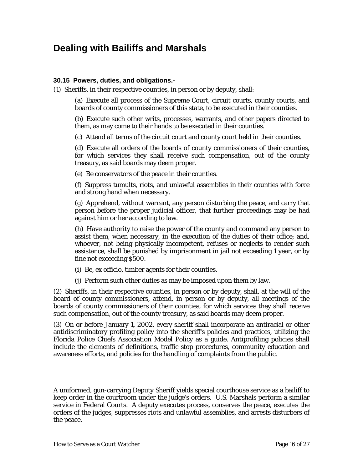# <span id="page-15-0"></span>**Dealing with Bailiffs and Marshals**

Familiarize Yourself with Flor ida Statues Regarding Sheriffs

#### **30.15 Powers, duties, and obligations.-**

(1) Sheriffs, in their respective counties, in person or by deputy, shall:

(a) Execute all process of the Supreme Court, circuit courts, county courts, and boards of county commissioners of this state, to be executed in their counties.

(b) Execute such other writs, processes, warrants, and other papers directed to them, as may come to their hands to be executed in their counties.

(c) Attend all terms of the circuit court and county court held in their counties.

(d) Execute all orders of the boards of county commissioners of their counties, for which services they shall receive such compensation, out of the county treasury, as said boards may deem proper.

(e) Be conservators of the peace in their counties.

(f) Suppress tumults, riots, and unlawful assemblies in their counties with force and strong hand when necessary.

(g) Apprehend, without warrant, any person disturbing the peace, and carry that person before the proper judicial officer, that further proceedings may be had against him or her according to law.

(h) Have authority to raise the power of the county and command any person to assist them, when necessary, in the execution of the duties of their office; and, whoever, not being physically incompetent, refuses or neglects to render such assistance, shall be punished by imprisonment in jail not exceeding 1 year, or by fine not exceeding \$500.

- (i) Be, ex officio, timber agents for their counties.
- (j) Perform such other duties as may be imposed upon them by law.

(2) Sheriffs, in their respective counties, in person or by deputy, shall, at the will of the board of county commissioners, attend, in person or by deputy, all meetings of the boards of county commissioners of their counties, for which services they shall receive such compensation, out of the county treasury, as said boards may deem proper.

(3) On or before January 1, 2002, every sheriff shall incorporate an antiracial or other antidiscriminatory profiling policy into the sheriff's policies and practices, utilizing the Florida Police Chiefs Association Model Policy as a guide. Antiprofiling policies shall include the elements of definitions, traffic stop procedures, community education and awareness efforts, and policies for the handling of complaints from the public.

#### Summary of Bailiff Powers

A uniformed, gun-carrying Deputy Sheriff yields special courthouse service as a bailiff to keep order in the courtroom under the judge's orders. U.S. Marshals perform a similar service in Federal Courts. A deputy executes process, conserves the peace, executes the orders of the judges, suppresses riots and unlawful assemblies, and arrests disturbers of the peace.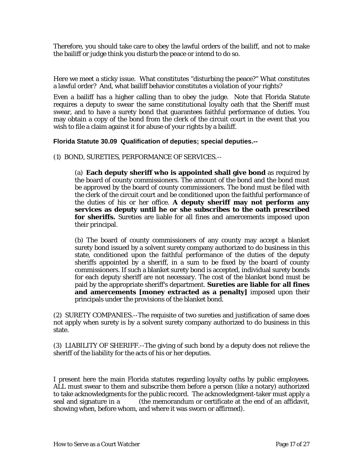<span id="page-16-0"></span>Therefore, you should take care to obey the lawful orders of the bailiff, and not to make the bailiff or judge think you disturb the peace or intend to do so.

## What About Your Rights?

Here we meet a sticky issue. What constitutes "disturbing the peace?" What constitutes a lawful order? And, what bailiff behavior constitutes a violation of your rights?

Even a bailiff has a higher calling than to obey the judge. Note that Florida Statute requires a deputy to swear the same constitutional loyalty oath that the Sheriff must swear, and to have a surety bond that guarantees faithful performance of duties. You may obtain a copy of the bond from the clerk of the circuit court in the event that you wish to file a claim against it for abuse of your rights by a bailiff.

#### **Florida Statute 30.09 Qualification of deputies; special deputies.--**

#### (1) BOND, SURETIES, PERFORMANCE OF SERVICES.--

(a) **Each deputy sheriff who is appointed shall give bond** as required by the board of county commissioners. The amount of the bond and the bond must be approved by the board of county commissioners. The bond must be filed with the clerk of the circuit court and be conditioned upon the faithful performance of the duties of his or her office. **A deputy sheriff may not perform any services as deputy until he or she subscribes to the oath prescribed for sheriffs.** Sureties are liable for all fines and amercements imposed upon their principal.

(b) The board of county commissioners of any county may accept a blanket surety bond issued by a solvent surety company authorized to do business in this state, conditioned upon the faithful performance of the duties of the deputy sheriffs appointed by a sheriff, in a sum to be fixed by the board of county commissioners. If such a blanket surety bond is accepted, individual surety bonds for each deputy sheriff are not necessary. The cost of the blanket bond must be paid by the appropriate sheriff's department. **Sureties are liable for all fines and amercements [money extracted as a penalty]** imposed upon their principals under the provisions of the blanket bond.

(2) SURETY COMPANIES.--The requisite of two sureties and justification of same does not apply when surety is by a solvent surety company authorized to do business in this state.

(3) LIABILITY OF SHERIFF.--The giving of such bond by a deputy does not relieve the sheriff of the liability for the acts of his or her deputies.

#### The Sheriff''s and Deputy's Loyalty Oaths

I present here the main Florida statutes regarding loyalty oaths by public employees. ALL must swear to them and subscribe them before a person (like a notary) authorized to take acknowledgments for the public record. The acknowledgment-taker must apply a seal and signature in a jurat (the memorandum or certificate at the end of an affidavit, showing when, before whom, and where it was sworn or affirmed).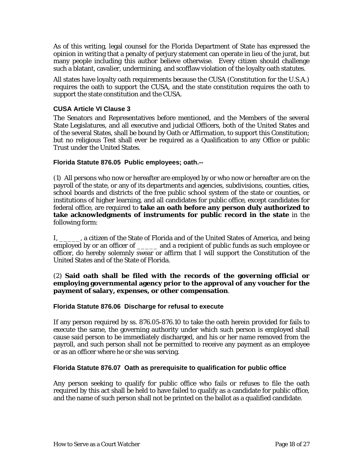<span id="page-17-0"></span>As of this writing, legal counsel for the Florida Department of State has expressed the opinion in writing that a penalty of perjury statement can operate in lieu of the jurat, but many people including this author believe otherwise. Every citizen should challenge such a blatant, cavalier, undermining, and scofflaw violation of the loyalty oath statutes.

All states have loyalty oath requirements because the CUSA (Constitution for the U.S.A.) requires the oath to support the CUSA, and the state constitution requires the oath to support the state constitution and the CUSA.

#### **CUSA Article VI Clause 3**

The Senators and Representatives before mentioned, and the Members of the several State Legislatures, and all executive and judicial Officers, both of the United States and of the several States, shall be bound by Oath or Affirmation, to support this Constitution; but no religious Test shall ever be required as a Qualification to any Office or public Trust under the United States.

#### **Florida Statute 876.05 Public employees; oath.--**

(1) All persons who now or hereafter are employed by or who now or hereafter are on the payroll of the state, or any of its departments and agencies, subdivisions, counties, cities, school boards and districts of the free public school system of the state or counties, or institutions of higher learning, and all candidates for public office, except candidates for federal office, are required to **take an oath before any person duly authorized to take acknowledgments of instruments for public record in the state** in the following form:

I, \_\_\_\_\_, a citizen of the State of Florida and of the United States of America, and being employed by or an officer of \_\_\_\_\_ and a recipient of public funds as such employee or officer, do hereby solemnly swear or affirm that I will support the Constitution of the United States and of the State of Florida.

#### (2) **Said oath shall be filed with the records of the governing official or employing governmental agency prior to the approval of any voucher for the payment of salary, expenses, or other compensation**.

#### **Florida Statute 876.06 Discharge for refusal to execute**

If any person required by ss. 876.05-876.10 to take the oath herein provided for fails to execute the same, the governing authority under which such person is employed shall cause said person to be immediately discharged, and his or her name removed from the payroll, and such person shall not be permitted to receive any payment as an employee or as an officer where he or she was serving.

#### **Florida Statute 876.07 Oath as prerequisite to qualification for public office**

Any person seeking to qualify for public office who fails or refuses to file the oath required by this act shall be held to have failed to qualify as a candidate for public office, and the name of such person shall not be printed on the ballot as a qualified candidate.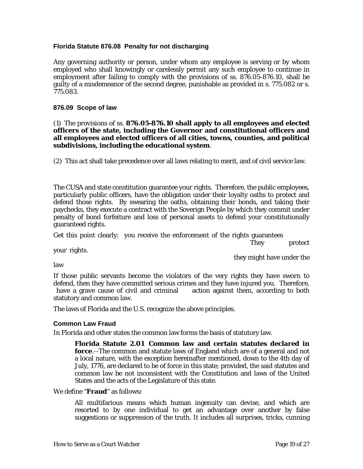#### <span id="page-18-0"></span>**Florida Statute 876.08 Penalty for not discharging**

Any governing authority or person, under whom any employee is serving or by whom employed who shall knowingly or carelessly permit any such employee to continue in employment after failing to comply with the provisions of ss. 876.05-876.10, shall be guilty of a misdemeanor of the second degree, punishable as provided in s. 775.082 or s. 775.083.

#### **876.09 Scope of law**

#### (1) The provisions of ss. **876.05-876.10 shall apply to all employees and elected officers of the state, including the Governor and constitutional officers and all employees and elected officers of all cities, towns, counties, and political subdivisions, including the educational system**.

(2) This act shall take precedence over all laws relating to merit, and of civil service law.

#### Penalty for Violating Your Constitutional Rights

The CUSA and state constitution guarantee your rights. Therefore, the public employees, particularly public officers, have the obligation under their loyalty oaths to protect and defend those rights. By swearing the oaths, obtaining their bonds, and taking their paychecks, they execute a contract with the Soverign People by which they commit under penalty of bond forfeiture and loss of personal assets to defend your constitutionally guaranteed rights.

Get this point clearly: you receive the enforcement of the rights guarantees through your public servants (public officers and other public employees). They MUST protect your rights. Protecting your rights constitutes their number one job that takes precedence and has priority over all other jobs they might have under the law.

If those public servants become the violators of the very rights they have sworn to defend, then they have committed serious crimes and they have injured you. Therefore, you have a grave cause of civil and criminal action against them, according to both statutory and common law.

The laws of Florida and the U.S. recognize the above principles.

#### **Common Law Fraud**

In Florida and other states the common law forms the basis of statutory law.

**Florida Statute 2.01 Common law and certain statutes declared in force**.--The common and statute laws of England which are of a general and not a local nature, with the exception hereinafter mentioned, down to the 4th day of July, 1776, are declared to be of force in this state; provided, the said statutes and common law be not inconsistent with the Constitution and laws of the United States and the acts of the Legislature of this state.

#### We define "**Fraud**" as follows**:**

All multifarious means which human ingenuity can devise, and which are resorted to by one individual to get an advantage over another by false suggestions or suppression of the truth. It includes all surprises, tricks, cunning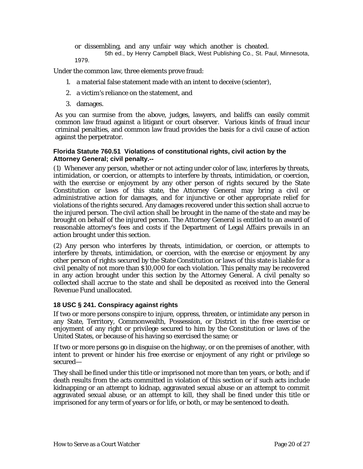<span id="page-19-0"></span>or dissembling, and any unfair way which another is cheated. Black's Law Dictionary, 5th ed., by Henry Campbell Black, West Publishing Co., St. Paul, Minnesota, 1979.

Under the common law, three elements prove fraud:

- 1. a material false statement made with an intent to deceive (scienter),
- 2. a victim's reliance on the statement, and
- 3. damages.

As you can surmise from the above, judges, lawyers, and baliffs can easily commit common law fraud against a litigant or court observer. Various kinds of fraud incur criminal penalties, and common law fraud provides the basis for a civil cause of action against the perpetrator.

#### **Florida Statute 760.51 Violations of constitutional rights, civil action by the Attorney General; civil penalty.--**

(1) Whenever any person, whether or not acting under color of law, interferes by threats, intimidation, or coercion, or attempts to interfere by threats, intimidation, or coercion, with the exercise or enjoyment by any other person of rights secured by the State Constitution or laws of this state, the Attorney General may bring a civil or administrative action for damages, and for injunctive or other appropriate relief for violations of the rights secured. Any damages recovered under this section shall accrue to the injured person. The civil action shall be brought in the name of the state and may be brought on behalf of the injured person. The Attorney General is entitled to an award of reasonable attorney's fees and costs if the Department of Legal Affairs prevails in an action brought under this section.

(2) Any person who interferes by threats, intimidation, or coercion, or attempts to interfere by threats, intimidation, or coercion, with the exercise or enjoyment by any other person of rights secured by the State Constitution or laws of this state is liable for a civil penalty of not more than \$10,000 for each violation. This penalty may be recovered in any action brought under this section by the Attorney General. A civil penalty so collected shall accrue to the state and shall be deposited as received into the General Revenue Fund unallocated.

#### **18 USC § 241. Conspiracy against rights**

If two or more persons conspire to injure, oppress, threaten, or intimidate any person in any State, Territory, Commonwealth, Possession, or District in the free exercise or enjoyment of any right or privilege secured to him by the Constitution or laws of the United States, or because of his having so exercised the same; or

If two or more persons go in disguise on the highway, or on the premises of another, with intent to prevent or hinder his free exercise or enjoyment of any right or privilege so secured—

They shall be fined under this title or imprisoned not more than ten years, or both; and if death results from the acts committed in violation of this section or if such acts include kidnapping or an attempt to kidnap, aggravated sexual abuse or an attempt to commit aggravated sexual abuse, or an attempt to kill, they shall be fined under this title or imprisoned for any term of years or for life, or both, or may be sentenced to death.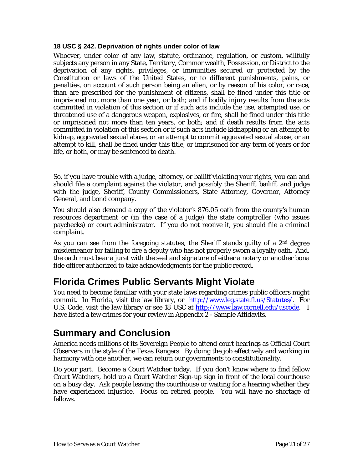#### <span id="page-20-0"></span>**18 USC § 242. Deprivation of rights under color of law**

Whoever, under color of any law, statute, ordinance, regulation, or custom, willfully subjects any person in any State, Territory, Commonwealth, Possession, or District to the deprivation of any rights, privileges, or immunities secured or protected by the Constitution or laws of the United States, or to different punishments, pains, or penalties, on account of such person being an alien, or by reason of his color, or race, than are prescribed for the punishment of citizens, shall be fined under this title or imprisoned not more than one year, or both; and if bodily injury results from the acts committed in violation of this section or if such acts include the use, attempted use, or threatened use of a dangerous weapon, explosives, or fire, shall be fined under this title or imprisoned not more than ten years, or both; and if death results from the acts committed in violation of this section or if such acts include kidnapping or an attempt to kidnap, aggravated sexual abuse, or an attempt to commit aggravated sexual abuse, or an attempt to kill, shall be fined under this title, or imprisoned for any term of years or for life, or both, or may be sentenced to death.

## Investigate and Complain of Loyalty Oath Violations

So, if you have trouble with a judge, attorney, or bailiff violating your rights, you can and should file a complaint against the violator, and possibly the Sheriff, bailiff, and judge with the judge, Sheriff, County Commissioners, State Attorney, Governor, Attorney General, and bond company.

You should also demand a copy of the violator's 876.05 oath from the county's human resources department or (in the case of a judge) the state comptroller (who issues paychecks) or court administrator. If you do not receive it, you should file a criminal complaint.

As you can see from the foregoing statutes, the Sheriff stands guilty of a  $2<sup>nd</sup>$  degree misdemeanor for failing to fire a deputy who has not properly sworn a loyalty oath. And, the oath must bear a jurat with the seal and signature of either a notary or another bona fide officer authorized to take acknowledgments for the public record.

# **Florida Crimes Public Servants Might Violate**

You need to become familiar with your state laws regarding crimes public officers might commit. In Florida, visit the law library, or http://www.leg.state.fl.us/Statutes/. For U.S. Code, visit the law library or see 18 USC at http://www.law.cornell.edu/uscode. I have listed a few crimes for your review in Appendix 2 - Sample Affidavits.

## **Summary and Conclusion**

America needs millions of its Sovereign People to attend court hearings as Official Court Observers in the style of the Texas Rangers. By doing the job effectively and working in harmony with one another, we can return our governments to constitutionality.

Do your part. Become a Court Watcher today. If you don't know where to find fellow Court Watchers, hold up a Court Watcher Sign-up sign in front of the local courthouse on a busy day. Ask people leaving the courthouse or waiting for a hearing whether they have experienced injustice. Focus on retired people. You will have no shortage of fellows.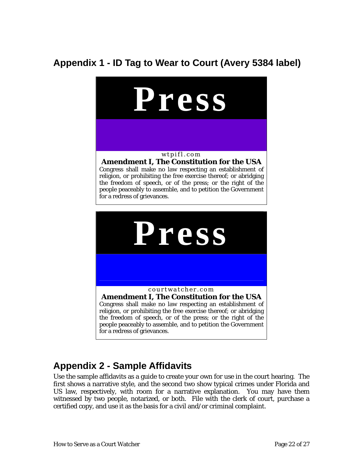# <span id="page-21-0"></span>**Appendix 1 - ID Tag to Wear to Court (Avery 5384 label)**



# **Appendix 2 - Sample Affidavits**

Use the sample affidavits as a guide to create your own for use in the court hearing. The first shows a narrative style, and the second two show typical crimes under Florida and US law, respectively, with room for a narrative explanation. You may have them witnessed by two people, notarized, or both. File with the clerk of court, purchase a certified copy, and use it as the basis for a civil and/or criminal complaint.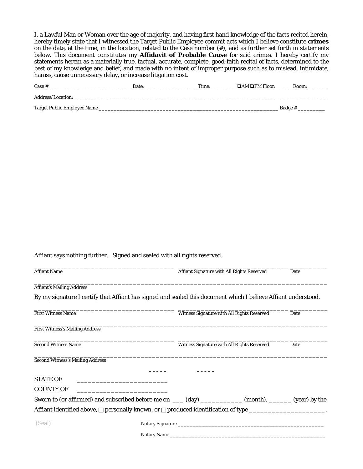## Verified Affidavit of Facts

I, a Lawful Man or Woman over the age of majority, and having first hand knowledge of the facts recited herein, hereby timely state that I witnessed the Target Public Employee commit acts which I believe constitute **crimes** on the date, at the time, in the location, related to the Case number (#), and as further set forth in statements below. This document constitutes my **Affidavit of Probable Cause** for said crimes. I hereby certify my statements herein as a materially true, factual, accurate, complete, good-faith recital of facts, determined to the best of my knowledge and belief, and made with no intent of improper purpose such as to mislead, intimidate, harass, cause unnecessary delay, or increase litigation cost.

| Case #                             | Date: | Time: | $\Box$ AM $\Box$ PM Floor: | Room:   |
|------------------------------------|-------|-------|----------------------------|---------|
| Address/Location:                  |       |       |                            |         |
| <b>Target Public Employee Name</b> |       |       |                            | Badge # |

Affiant says nothing further. Signed and sealed with all rights reserved.

| <b>Affiant Name</b>                                                                                                                       | Affiant Signature with All Rights Reserved | Date |
|-------------------------------------------------------------------------------------------------------------------------------------------|--------------------------------------------|------|
| <b>Affiant's Mailing Address</b>                                                                                                          |                                            |      |
| By my signature I certify that Affiant has signed and sealed this document which I believe Affiant understood.                            |                                            |      |
| <b>First Witness Name</b>                                                                                                                 | Witness Signature with All Rights Reserved | Date |
| <b>First Witness's Mailing Address</b>                                                                                                    |                                            |      |
| <b>Second Witness Name</b>                                                                                                                | Witness Signature with All Rights Reserved | Date |
| <b>Second Witness's Mailing Address</b>                                                                                                   |                                            |      |
|                                                                                                                                           | Jurat                                      |      |
| <b>STATE OF</b><br><u> 1980 - Johann John Harrison, mars eta bainar eta baina eta baina eta baina eta baina eta baina eta baina eta</u>   |                                            |      |
| <b>COUNTY OF</b><br><u> 1990 - Johann John Stone, markin fan it ferskearre fan it ferskearre fan it ferskearre fan it ferskearre fan </u> |                                            |      |
| Sworn to (or affirmed) and subscribed before me on ___ (day) __________ (month), _____ (year) by the                                      |                                            |      |
| Affiant identified above, □ personally known, or □ produced identification of type ____________________________                           |                                            |      |
| (Seal)                                                                                                                                    |                                            |      |
|                                                                                                                                           |                                            |      |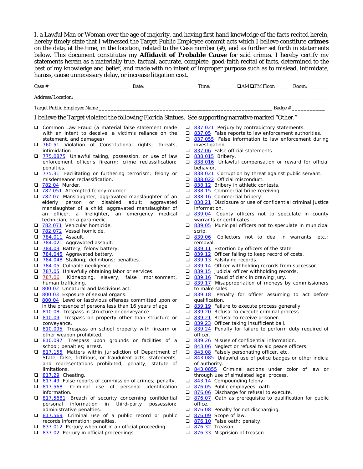## Verified Affidavit of Facts

I, a Lawful Man or Woman over the age of majority, and having first hand knowledge of the facts recited herein, hereby timely state that I witnessed the Target Public Employee commit acts which I believe constitute **crimes** on the date, at the time, in the location, related to the Case number (#), and as further set forth in statements below. This document constitutes my **Affidavit of Probable Cause** for said crimes. I hereby certify my statements herein as a materially true, factual, accurate, complete, good-faith recital of facts, determined to the best of my knowledge and belief, and made with no intent of improper purpose such as to mislead, intimidate, harass, cause unnecessary delay, or increase litigation cost.

|                  | Address/Location: _                                                                                                                                                                                                                                                                                                         |                                  |                                                                                                                                                                                                                                                                                                   |  |
|------------------|-----------------------------------------------------------------------------------------------------------------------------------------------------------------------------------------------------------------------------------------------------------------------------------------------------------------------------|----------------------------------|---------------------------------------------------------------------------------------------------------------------------------------------------------------------------------------------------------------------------------------------------------------------------------------------------|--|
|                  |                                                                                                                                                                                                                                                                                                                             |                                  | $Badge \#$                                                                                                                                                                                                                                                                                        |  |
|                  | I believe the Target violated the following Florida Statues. See supporting narrative marked "Other."                                                                                                                                                                                                                       |                                  |                                                                                                                                                                                                                                                                                                   |  |
|                  | □ Common Law Fraud (a material false statement made<br>with an intent to deceive, a victim's reliance on the<br>statement, and damages)<br>□ 760.51 Violation of Constitutional rights; threats,<br>intimidation                                                                                                            | investigation.                   | □ 837.021 Perjury by contradictory statements.<br>□ 837.05 False reports to law enforcement authorities.<br>□ 837.055 False information to law enforcement during<br>□ 837.06 False official statements.                                                                                          |  |
|                  | □ 775.0875 Unlawful taking, possession, or use of law<br>enforcement officer's firearm; crime reclassification;<br>penalties.                                                                                                                                                                                               | □ 838.015 Bribery.<br>behavior.  | □ 838.016 Unlawful compensation or reward for official                                                                                                                                                                                                                                            |  |
|                  | □ 775.31 Facilitating or furthering terrorism; felony or<br>misdemeanor reclassification.<br>□ 782.04 Murder.<br>□ 782.051 Attempted felony murder.<br>□ 782.07 Manslaughter; aggravated manslaughter of an<br>person or disabled<br>elderly<br>adult;<br>aggravated<br>manslaughter of a child; aggravated manslaughter of | information.                     | $\Box$ 838.021 Corruption by threat against public servant.<br>□ 838.022 Official misconduct.<br>$\Box$ 838.12 Bribery in athletic contests.<br>$\Box$ 838.15 Commercial bribe receiving.<br>□ 838.16 Commercial bribery.<br>□ 838.21 Disclosure or use of confidential criminal justice          |  |
|                  | an officer, a firefighter, an emergency medical<br>technician, or a paramedic.<br>□ 782.071 Vehicular homicide.<br>□ 782.072 Vessel homicide.<br>□ 784.011 Assault.                                                                                                                                                         | scrip.                           | □ 839.04 County officers not to speculate in county<br>warrants or certificates.<br>□ 839.05 Municipal officers not to speculate in municipal<br>□ 839.06 Collectors not to deal in warrants, etc.;                                                                                               |  |
| □<br>□<br>$\Box$ | 784.021 Aggravated assault.<br>784.03 Battery; felony battery.<br>784.045 Aggravated battery.<br>784.048 Stalking; definitions; penalties.<br>784.05 Culpable negligence.<br>□ 787.05 Unlawfully obtaining labor or services.<br>□ 787.06 Kidnapping, slavery, false imprisonment,                                          | removal.                         | □ 839.11 Extortion by officers of the state.<br>□ 839.12 Officer failing to keep record of costs.<br>□ 839.13 Falsifying records.<br>□ 839.14 Officer withholding records from successor.<br>$\Box$ 839.15 Judicial officer withholding records.<br>$\Box$ 839.16 Fraud of clerk in drawing jury. |  |
|                  | human trafficking.<br>□ 800.02 Unnatural and lascivious act.<br>□ 800.03 Exposure of sexual organs.<br>□ 800.04 Lewd or lascivious offenses committed upon or                                                                                                                                                               | to make sales.<br>qualification. | □ 839.17 Misappropriation of moneys by commissioners<br>□ 839.18 Penalty for officer assuming to act before                                                                                                                                                                                       |  |
|                  | in the presence of persons less than 16 years of age.<br>□ 810.08 Trespass in structure or conveyance.<br>□ 810.09 Trespass on property other than structure or<br>conveyance.                                                                                                                                              |                                  | $\Box$ 839.19 Failure to execute process generally.<br>$\Box$ 839.20 Refusal to execute criminal process.<br>□ 839.21 Refusal to receive prisoner.<br>□ 839.23 Officer taking insufficient bail.                                                                                                  |  |
|                  | □ 810.095 Trespass on school property with firearm or<br>other weapon prohibited.<br>□ 810.097 Trespass upon grounds or facilities of a<br>school; penalties; arrest.                                                                                                                                                       | officer.                         | $\Box$ 839.24 Penalty for failure to perform duty required of<br>$\Box$ 839.26 Misuse of confidential information.<br>$\Box$ 843.06 Neglect or refusal to aid peace officers.                                                                                                                     |  |

- □ [817.155](http://www.leg.state.fl.us/Statutes/index.cfm?App_mode=Display_Statute&Search_String=&URL=Ch0817/SEC155.HTM&Title=-%3E2007-%3ECh0817-%3ESection%20155#0817.155) Matters within jurisdiction of Department of State; false, fictitious, or fraudulent acts, statements, and representations prohibited; penalty; statute of limitations.
- **a** [817.29](http://www.leg.state.fl.us/Statutes/index.cfm?App_mode=Display_Statute&Search_String=&URL=Ch0817/SEC29.HTM&Title=-%3E2007-%3ECh0817-%3ESection%2029#0817.29) Cheating.
- $\boxed{9}$   $\boxed{817.49}$  $\boxed{817.49}$  $\boxed{817.49}$  False reports of commission of crimes; penalty.
- □ [817.568](http://www.leg.state.fl.us/Statutes/index.cfm?App_mode=Display_Statute&Search_String=&URL=Ch0817/SEC568.HTM&Title=-%3E2007-%3ECh0817-%3ESection%20568#0817.568) Criminal use of personal identification information.
- □ [817.5681](http://www.leg.state.fl.us/Statutes/index.cfm?App_mode=Display_Statute&Search_String=&URL=Ch0817/SEC5681.HTM&Title=-%3E2007-%3ECh0817-%3ESection%205681#0817.5681) Breach of security concerning confidential personal information in third-party possession; administrative penalties.
- □ [817.569](http://www.leg.state.fl.us/Statutes/index.cfm?App_mode=Display_Statute&Search_String=&URL=Ch0817/SEC569.HTM&Title=-%3E2007-%3ECh0817-%3ESection%20569#0817.569) Criminal use of a public record or public records information; penalties.
- □ [837.012](http://www.leg.state.fl.us/Statutes/index.cfm?App_mode=Display_Statute&Search_String=&URL=Ch0837/SEC012.HTM&Title=-%3E2007-%3ECh0837-%3ESection%20012#0837.012) Perjury when not in an official proceeding.
- [837.02](http://www.leg.state.fl.us/Statutes/index.cfm?App_mode=Display_Statute&Search_String=&URL=Ch0837/SEC02.HTM&Title=-%3E2007-%3ECh0837-%3ESection%2002#0837.02) Perjury in official proceedings.
- **06** Neglect or refusal to aid peace officers.
- 343.08 Falsely personating officer, etc.
- □ 843.085 Unlawful use of police badges or other indicia [of authority.](http://www.leg.state.fl.us/Statutes/index.cfm?App_mode=Display_Statute&Search_String=&URL=Ch0843/SEC085.HTM&Title=-%3E2007-%3ECh0843-%3ESection%20085#0843.085)
- 343.0855 Criminal actions under color of law or through use of simulated legal process.
- □ [843.14](http://www.leg.state.fl.us/Statutes/index.cfm?App_mode=Display_Statute&Search_String=&URL=Ch0843/SEC14.HTM&Title=-%3E2007-%3ECh0843-%3ESection%2014#0843.14) Compounding felony.
- **a** [876.05](http://www.leg.state.fl.us/Statutes/index.cfm?App_mode=Display_Statute&Search_String=&URL=Ch0876/SEC05.HTM&Title=-%3E2007-%3ECh0876-%3ESection%2005#0876.05) Public employees; oath.
- □ [876.06](http://www.leg.state.fl.us/Statutes/index.cfm?App_mode=Display_Statute&Search_String=&URL=Ch0876/SEC06.HTM&Title=-%3E2007-%3ECh0876-%3ESection%2006#0876.06) Discharge for refusal to execute.
- □ [876.07](http://www.leg.state.fl.us/Statutes/index.cfm?App_mode=Display_Statute&Search_String=&URL=Ch0876/SEC07.HTM&Title=-%3E2007-%3ECh0876-%3ESection%2007#0876.07) Oath as prerequisite to qualification for public office.
- □ [876.08](http://www.leg.state.fl.us/Statutes/index.cfm?App_mode=Display_Statute&Search_String=&URL=Ch0876/SEC08.HTM&Title=-%3E2007-%3ECh0876-%3ESection%2008#0876.08) Penalty for not discharging.
- **a** [876.09](http://www.leg.state.fl.us/Statutes/index.cfm?App_mode=Display_Statute&Search_String=&URL=Ch0876/SEC09.HTM&Title=-%3E2007-%3ECh0876-%3ESection%2009#0876.09) Scope of law.
- □ [876.10](http://www.leg.state.fl.us/Statutes/index.cfm?App_mode=Display_Statute&Search_String=&URL=Ch0876/SEC10.HTM&Title=-%3E2007-%3ECh0876-%3ESection%2010#0876.10) False oath; penalty.
- **a** [876.32](http://www.leg.state.fl.us/Statutes/index.cfm?App_mode=Display_Statute&Search_String=&URL=Ch0876/SEC32.HTM&Title=-%3E2007-%3ECh0876-%3ESection%2032#0876.32) Treason.
- **a** [876.33](http://www.leg.state.fl.us/Statutes/index.cfm?App_mode=Display_Statute&Search_String=&URL=Ch0876/SEC33.HTM&Title=-%3E2007-%3ECh0876-%3ESection%2033#0876.33) Misprision of treason.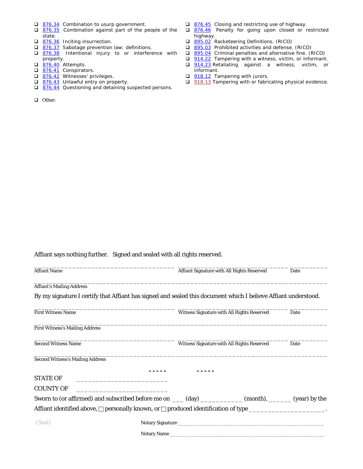- **a** [876.34](http://www.leg.state.fl.us/Statutes/index.cfm?App_mode=Display_Statute&Search_String=&URL=Ch0876/SEC34.HTM&Title=-%3E2007-%3ECh0876-%3ESection%2034#0876.34) Combination to usurp government.
- □ [876.35](http://www.leg.state.fl.us/Statutes/index.cfm?App_mode=Display_Statute&Search_String=&URL=Ch0876/SEC35.HTM&Title=-%3E2007-%3ECh0876-%3ESection%2035#0876.35) Combination against part of the people of the state.
- **a** [876.36](http://www.leg.state.fl.us/Statutes/index.cfm?App_mode=Display_Statute&Search_String=&URL=Ch0876/SEC36.HTM&Title=-%3E2007-%3ECh0876-%3ESection%2036#0876.36) Inciting insurrection.
- □ [876.37](http://www.leg.state.fl.us/Statutes/index.cfm?App_mode=Display_Statute&Search_String=&URL=Ch0876/SEC37.HTM&Title=-%3E2007-%3ECh0876-%3ESection%2037#0876.37) Sabotage prevention law; definitions.
- **a** [876.38](http://www.leg.state.fl.us/Statutes/index.cfm?App_mode=Display_Statute&Search_String=&URL=Ch0876/SEC38.HTM&Title=-%3E2007-%3ECh0876-%3ESection%2038#0876.38) Intentional injury to or interference with property.
- **D** [876.40](http://www.leg.state.fl.us/Statutes/index.cfm?App_mode=Display_Statute&Search_String=&URL=Ch0876/SEC40.HTM&Title=-%3E2007-%3ECh0876-%3ESection%2040#0876.40) Attempts.
- **a** [876.41](http://www.leg.state.fl.us/Statutes/index.cfm?App_mode=Display_Statute&Search_String=&URL=Ch0876/SEC41.HTM&Title=-%3E2007-%3ECh0876-%3ESection%2041#0876.41) Conspirators.
- **a** [876.42](http://www.leg.state.fl.us/Statutes/index.cfm?App_mode=Display_Statute&Search_String=&URL=Ch0876/SEC42.HTM&Title=-%3E2007-%3ECh0876-%3ESection%2042#0876.42) Witnesses' privileges.
- □ [876.43](http://www.leg.state.fl.us/Statutes/index.cfm?App_mode=Display_Statute&Search_String=&URL=Ch0876/SEC43.HTM&Title=-%3E2007-%3ECh0876-%3ESection%2043#0876.43) Unlawful entry on property.
- **B** [876.44](http://www.leg.state.fl.us/Statutes/index.cfm?App_mode=Display_Statute&Search_String=&URL=Ch0876/SEC44.HTM&Title=-%3E2007-%3ECh0876-%3ESection%2044#0876.44) Questioning and detaining suspected persons.
- Other:
- □ [876.45](http://www.leg.state.fl.us/Statutes/index.cfm?App_mode=Display_Statute&Search_String=&URL=Ch0876/SEC45.HTM&Title=-%3E2007-%3ECh0876-%3ESection%2045#0876.45) Closing and restricting use of highway.
- □ [876.46](http://www.leg.state.fl.us/Statutes/index.cfm?App_mode=Display_Statute&Search_String=&URL=Ch0876/SEC46.HTM&Title=-%3E2007-%3ECh0876-%3ESection%2046#0876.46) Penalty for going upon closed or restricted highway.
- □ [895.02](http://www.leg.state.fl.us/Statutes/index.cfm?App_mode=Display_Statute&Search_String=&URL=Ch0895/SEC02.HTM&Title=-%3E2007-%3ECh0895-%3ESection%2002#0895.02) Racketeering Definitions. (RICO)
- □ [895.03](http://www.leg.state.fl.us/Statutes/index.cfm?App_mode=Display_Statute&Search_String=&URL=Ch0895/SEC03.HTM&Title=-%3E2007-%3ECh0895-%3ESection%2003#0895.03) Prohibited activities and defense. (RICO)
- □ [895.04](http://www.leg.state.fl.us/Statutes/index.cfm?App_mode=Display_Statute&Search_String=&URL=Ch0895/SEC04.HTM&Title=-%3E2007-%3ECh0895-%3ESection%2004#0895.04) Criminal penalties and alternative fine. (RICO)
- **Q** [914.22](http://www.leg.state.fl.us/statutes/index.cfm?App_mode=Display_Statute&Search_String=&URL=Ch0914/SEC22.HTM&Title=-%3E2007-%3ECh0914-%3ESection%2022#0914.22) Tampering with a witness, victim, or informant.
- □ [914.23](http://www.leg.state.fl.us/statutes/index.cfm?App_mode=Display_Statute&Search_String=&URL=Ch0914/SEC23.HTM&Title=-%3E2007-%3ECh0914-%3ESection%2023#0914.23) Retaliating against a witness, victim, or informant.
- **Q** [918.12](http://www.leg.state.fl.us/statutes/index.cfm?App_mode=Display_Statute&Search_String=&URL=Ch0918/SEC12.HTM&Title=-%3E2007-%3ECh0918-%3ESection%2012#0918.12) Tampering with jurors.
- □ [918.13](http://www.leg.state.fl.us/statutes/index.cfm?App_mode=Display_Statute&Search_String=&URL=Ch0918/SEC13.HTM&Title=-%3E2007-%3ECh0918-%3ESection%2013#0918.13) Tampering with or fabricating physical evidence.

Affiant says nothing further. Signed and sealed with all rights reserved.

| <b>Affiant Name</b>                                                                                                                                                                                                                              |                                            | Affiant Signature with All Rights Reserved                                                                      |      |  |
|--------------------------------------------------------------------------------------------------------------------------------------------------------------------------------------------------------------------------------------------------|--------------------------------------------|-----------------------------------------------------------------------------------------------------------------|------|--|
| <b>Affiant's Mailing Address</b>                                                                                                                                                                                                                 |                                            |                                                                                                                 |      |  |
|                                                                                                                                                                                                                                                  |                                            | By my signature I certify that Affiant has signed and sealed this document which I believe Affiant understood.  |      |  |
| <b>First Witness Name</b>                                                                                                                                                                                                                        |                                            | Witness Signature with All Rights Reserved                                                                      | Date |  |
| <b>First Witness's Mailing Address</b>                                                                                                                                                                                                           |                                            |                                                                                                                 |      |  |
| <b>Second Witness Name</b>                                                                                                                                                                                                                       | Witness Signature with All Rights Reserved |                                                                                                                 | Date |  |
| <b>Second Witness's Mailing Address</b>                                                                                                                                                                                                          |                                            |                                                                                                                 |      |  |
|                                                                                                                                                                                                                                                  |                                            | Jurat                                                                                                           |      |  |
| <b>STATE OF</b><br>the control of the control of the control of the control of the control of the control of the control of the control of the control of the control of the control of the control of the control of the control of the control |                                            |                                                                                                                 |      |  |
| <b>COUNTY OF</b>                                                                                                                                                                                                                                 |                                            |                                                                                                                 |      |  |
|                                                                                                                                                                                                                                                  |                                            | Sworn to (or affirmed) and subscribed before me on ___ (day) __________ (month), _____ (year) by the            |      |  |
|                                                                                                                                                                                                                                                  |                                            | Affiant identified above, □ personally known, or □ produced identification of type ____________________________ |      |  |
| (Seal)                                                                                                                                                                                                                                           |                                            |                                                                                                                 |      |  |
|                                                                                                                                                                                                                                                  |                                            |                                                                                                                 |      |  |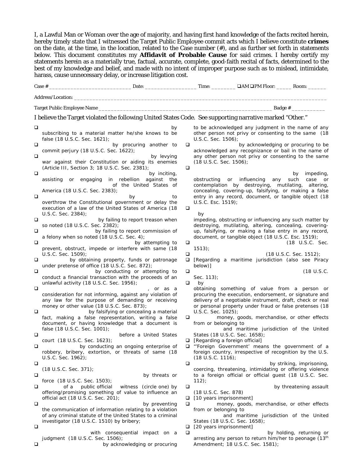## Verified Affidavit of Facts

I, a Lawful Man or Woman over the age of majority, and having first hand knowledge of the facts recited herein, hereby timely state that I witnessed the Target Public Employee commit acts which I believe constitute **crimes** on the date, at the time, in the location, related to the Case number (#), and as further set forth in statements below. This document constitutes my **Affidavit of Probable Cause** for said crimes. I hereby certify my statements herein as a materially true, factual, accurate, complete, good-faith recital of facts, determined to the best of my knowledge and belief, and made with no intent of improper purpose such as to mislead, intimidate, harass, cause unnecessary delay, or increase litigation cost.

| Case #                                                                                                   | Date: | Time: | $\Box$ AM $\Box$ PM Floor: | Room: |
|----------------------------------------------------------------------------------------------------------|-------|-------|----------------------------|-------|
| <b>Address/Location:</b>                                                                                 |       |       |                            |       |
| Target Public Employee Name                                                                              |       |       | Badge #                    |       |
| I believe the Target violated the following United States Code. See supporting narrative marked "Other." |       |       |                            |       |

- **Q** Perjury against his/her oath of office by subscribing to a material matter he/she knows to be false (18 U.S.C. Sec. 1621);
- □ Subornation of perjury by procuring another to commit perjury (18 U.S.C. Sec. 1622);
- $\Box$  Treason against the American People by levying war against their Constitution or aiding its enemies (Article III, Section 3; 18 U.S.C. Sec. 2381);
- $\Box$  Insurrection against the Constitution by inciting, assisting or engaging in rebellion against the Constitutional authority of the United States of America (18 U.S.C. Sec. 2383);
- □ Sedition/seditious conspiracy by conspiring to overthrow the Constitutional government or delay the execution of a law of the United States of America (18 U.S.C. Sec. 2384);
- □ Misprison of treason by failing to report treason when so noted (18 U.S.C. Sec. 2382);<br> **Q** Misprison of felony by failing
- by failing to report commission of a felony when so noted (18 U.S.C. Sec. 4);
- $\Box$  Impeding due exercise of rights by attempting to prevent, obstruct, impede or interfere with same (18 U.S.C. Sec. 1509);
- Extortion by obtaining property, funds or patronage under pretense of office (18 U.S.C. Sec. 872);
- $\Box$  Money laundering by conducting or attempting to conduct a financial transaction with the proceeds of an unlawful activity (18 U.S.C. Sec. 1956);
- Blackmail by threatening to inform and the contrast a consideration for not informing, against any violation of any law for the purpose of demanding or receiving money or other value (18 U.S.C. Sec. 873);
- $\Box$  Fraud by a judge by falsifying or concealing a material fact, making a false representation, writing a false document, or having knowledge that a document is false (18 U.S.C. Sec. 1001);
- □ Making a false declaration before a United States court (18 U.S.C. Sec. 1623);
- □ Racketeering by conducting an ongoing enterprise of robbery, bribery, extortion, or threats of same (18 U.S.C. Sec. 1962);
- □ Conspiracy to offend or defraud the United States (18 U.S.C. Sec. 371);
- Influencing/injuring a court officer by threats or force (18 U.S.C. Sec. 1503);
- □ Bribery of a public official witness (circle one) by offering/promising something of value to influence an official act (18 U.S.C. Sec. 201);
- □ Obstructing a criminal investigation by preventing the communication of information relating to a violation of any criminal statute of the United States to a criminal investigator (18 U.S.C. 1510) by bribery;
- □ Stealing, altering, falsifying, removing or avoiding a court record with consequential impact on a judgment (18 U.S.C. Sec. 1506);
- $\Box$  Involuntary judgment by acknowledging or procuring

to be acknowledged any judgment in the name of any other person not privy or consenting to the same (18 U.S.C. Sec. 1506);

- $\Box$  Involuntary bail by acknowledging or procuring to be acknowledged any recognizance or bail in the name of any other person not privy or consenting to the same (18 U.S.C. Sec. 1506);
- Impeding a case filed under title 11 or in contemplation of such matter by impeding, obstructing or influencing any such case or contemplation by destroying, mutilating, altering, concealing, covering-up, falsifying, or making a false entry in any record, document, or tangible object (18 U.S.C. Esc. 1519);
- Impeding a matter under agency/department investigation, administration or jurisdiction by impeding, obstructing or influencing any such matter by destroying, mutilating, altering, concealing, coveringup, falsifying, or making a false entry in any record, document, or tangible object (18 U.S.C. Esc. 1519);
- □ Retaliation against a witness (18 U.S.C. Sec. 1513);
- □ Tampering with a witness (18 U.S.C. Sec. 1512);
- [Regarding a maritime jurisdiction (also see *Piracy* below)]
- $\Box$  Assault within the maritime jurisdiction (18 U.S.C. Sec. 113);
- $\Box$  Theft within the special maritime jurisdiction by obtaining something of value from a person or procuring the execution, endorsement, or signature and delivery of a negotiable instrument, draft, check or real or personal property under fraud or false pretenses (18 U.S.C. Sec. 1025);
- **Plunder** money, goods, merchandise, or other effects from or belonging to a vessel in distress within the admiralty and maritime jurisdiction of the United States (18 U.S.C. Sec. 1658);
- □ [Regarding a foreign official]
- □ "'Foreign Government' means the government of a foreign country, irrespective of recognition by the U.S. (18 U.S.C. 1116);
- $\Box$  Assaulting a foreign official by striking, imprisoning, coercing, threatening, intimidating or offering violence to a foreign official or official guest (18 U.S.C. Sec. 112);
- $\Box$  Extortion of a foreign official by threatening assault (18 U.S.C. Sec. 878)
- □ [10 years imprisonment]
- **Plunder** money, goods, merchandise, or other effects from or belonging to a vessel in distress within the admiralty and maritime jurisdiction of the United States (18 U.S.C. Sec. 1658);
- □ [20 years imprisonment]
- □ Aiding / abetting slavery by holding, returning or arresting any person to return him/her to peonage (13<sup>th</sup> Amendment; 18 U.S.C. Sec. 1581);